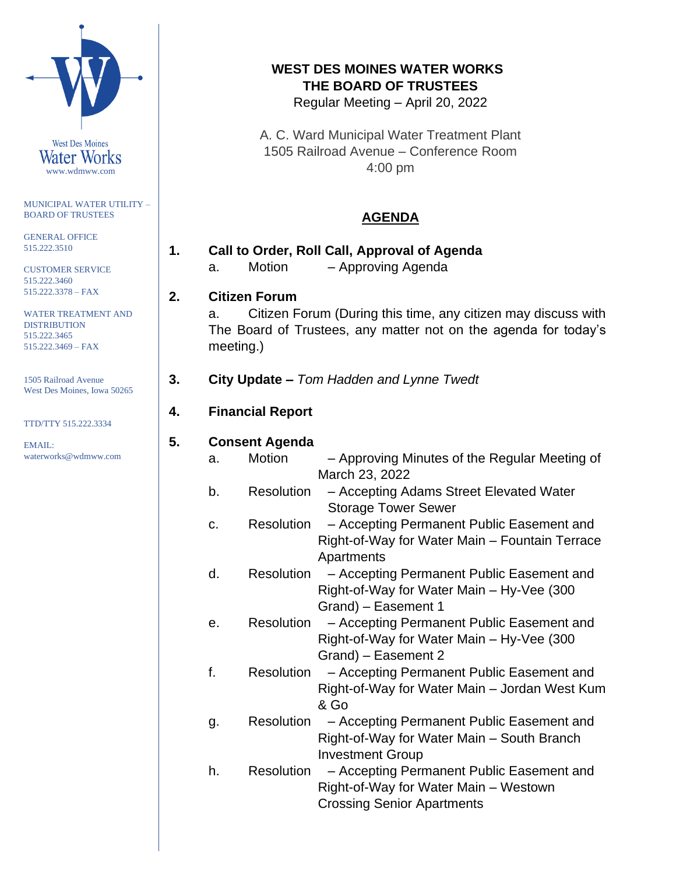

www.wdmww.com

MUNICIPAL WATER UTILITY – BOARD OF TRUSTEES

GENERAL OFFICE 515.222.3510

CUSTOMER SERVICE 515.222.3460 515.222.3378 – FAX

WATER TREATMENT AND DISTRIBUTION 515.222.3465 515.222.3469 – FAX

1505 Railroad Avenue West Des Moines, Iowa 50265

TTD/TTY 515.222.3334

EMAIL: waterworks@wdmww.com

# **WEST DES MOINES WATER WORKS THE BOARD OF TRUSTEES**

Regular Meeting – April 20, 2022

A. C. Ward Municipal Water Treatment Plant 1505 Railroad Avenue – Conference Room 4:00 pm

# **AGENDA**

| 1. |  |  | Call to Order, Roll Call, Approval of Agenda |
|----|--|--|----------------------------------------------|
|    |  |  |                                              |

a. Motion – Approving Agenda

# **2. Citizen Forum**

a. Citizen Forum (During this time, any citizen may discuss with The Board of Trustees, any matter not on the agenda for today's meeting.)

# **3. City Update –** *Tom Hadden and Lynne Twedt*

# **4. Financial Report**

### **5. Consent Agenda**

- a. Motion Approving Minutes of the Regular Meeting of March 23, 2022
- b. Resolution Accepting Adams Street Elevated Water Storage Tower Sewer
- c. Resolution Accepting Permanent Public Easement and Right-of-Way for Water Main – Fountain Terrace Apartments
- d. Resolution Accepting Permanent Public Easement and Right-of-Way for Water Main – Hy-Vee (300 Grand) – Easement 1
- e. Resolution Accepting Permanent Public Easement and Right-of-Way for Water Main – Hy-Vee (300 Grand) – Easement 2
- f. Resolution Accepting Permanent Public Easement and Right-of-Way for Water Main – Jordan West Kum & Go
- g. Resolution Accepting Permanent Public Easement and Right-of-Way for Water Main – South Branch Investment Group
- h. Resolution Accepting Permanent Public Easement and Right-of-Way for Water Main – Westown Crossing Senior Apartments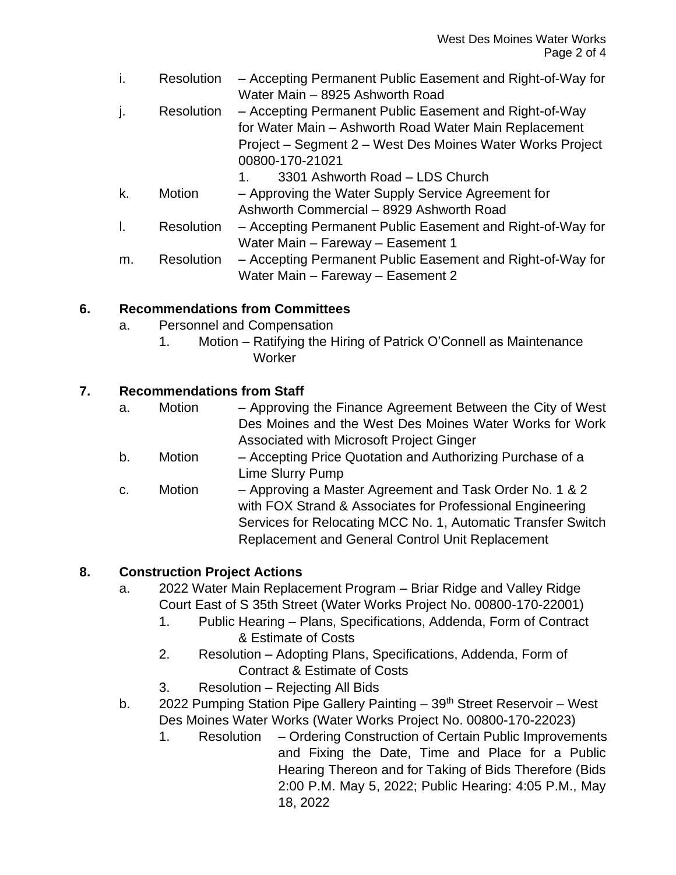| Ť. | <b>Resolution</b> | - Accepting Permanent Public Easement and Right-of-Way for<br>Water Main - 8925 Ashworth Road                                                                                                   |
|----|-------------------|-------------------------------------------------------------------------------------------------------------------------------------------------------------------------------------------------|
| j. | <b>Resolution</b> | - Accepting Permanent Public Easement and Right-of-Way<br>for Water Main - Ashworth Road Water Main Replacement<br>Project – Segment 2 – West Des Moines Water Works Project<br>00800-170-21021 |
|    |                   | 3301 Ashworth Road - LDS Church<br>1.                                                                                                                                                           |
| k. | Motion            | - Approving the Water Supply Service Agreement for                                                                                                                                              |
|    |                   | Ashworth Commercial - 8929 Ashworth Road                                                                                                                                                        |
| I. | Resolution        | - Accepting Permanent Public Easement and Right-of-Way for                                                                                                                                      |
|    |                   | Water Main - Fareway - Easement 1                                                                                                                                                               |
| m. | <b>Resolution</b> | - Accepting Permanent Public Easement and Right-of-Way for                                                                                                                                      |
|    |                   | Water Main - Fareway - Easement 2                                                                                                                                                               |

#### **6. Recommendations from Committees**

- a. Personnel and Compensation
	- 1. Motion Ratifying the Hiring of Patrick O'Connell as Maintenance **Worker**

### **7. Recommendations from Staff**

- a. Motion Approving the Finance Agreement Between the City of West Des Moines and the West Des Moines Water Works for Work Associated with Microsoft Project Ginger
- b. Motion Accepting Price Quotation and Authorizing Purchase of a Lime Slurry Pump
- c. Motion Approving a Master Agreement and Task Order No. 1 & 2 with FOX Strand & Associates for Professional Engineering Services for Relocating MCC No. 1, Automatic Transfer Switch Replacement and General Control Unit Replacement

# **8. Construction Project Actions**

- a. 2022 Water Main Replacement Program Briar Ridge and Valley Ridge Court East of S 35th Street (Water Works Project No. 00800-170-22001)
	- 1. Public Hearing Plans, Specifications, Addenda, Form of Contract & Estimate of Costs
	- 2. Resolution Adopting Plans, Specifications, Addenda, Form of Contract & Estimate of Costs
	- 3. Resolution Rejecting All Bids
- b. 2022 Pumping Station Pipe Gallery Painting 39<sup>th</sup> Street Reservoir West Des Moines Water Works (Water Works Project No. 00800-170-22023)
	- 1. Resolution Ordering Construction of Certain Public Improvements and Fixing the Date, Time and Place for a Public Hearing Thereon and for Taking of Bids Therefore (Bids 2:00 P.M. May 5, 2022; Public Hearing: 4:05 P.M., May 18, 2022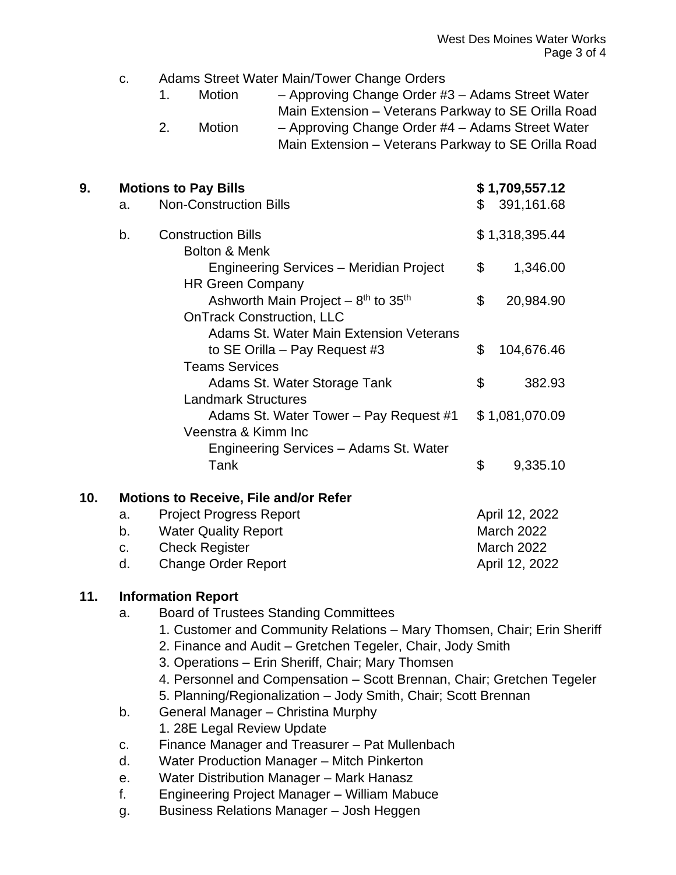| C. | Adams Street Water Main/Tower Change Orders |  |  |
|----|---------------------------------------------|--|--|
|----|---------------------------------------------|--|--|

|  | Motion | - Approving Change Order #3 - Adams Street Water |
|--|--------|--------------------------------------------------|
|--|--------|--------------------------------------------------|

- Main Extension Veterans Parkway to SE Orilla Road
- 2. Motion Approving Change Order #4 Adams Street Water Main Extension – Veterans Parkway to SE Orilla Road

| 9.  | <b>Motions to Pay Bills</b>                  |                                                                                                  |    | \$1,709,557.12    |  |  |
|-----|----------------------------------------------|--------------------------------------------------------------------------------------------------|----|-------------------|--|--|
|     | a.                                           | <b>Non-Construction Bills</b>                                                                    |    | \$391,161.68      |  |  |
|     | b.                                           | <b>Construction Bills</b><br><b>Bolton &amp; Menk</b>                                            |    | \$1,318,395.44    |  |  |
|     |                                              | Engineering Services – Meridian Project<br><b>HR Green Company</b>                               | \$ | 1,346.00          |  |  |
|     |                                              | Ashworth Main Project $-8$ <sup>th</sup> to 35 <sup>th</sup><br><b>OnTrack Construction, LLC</b> | \$ | 20,984.90         |  |  |
|     |                                              | Adams St. Water Main Extension Veterans                                                          |    |                   |  |  |
|     |                                              | to SE Orilla – Pay Request #3<br><b>Teams Services</b>                                           | \$ | 104,676.46        |  |  |
|     |                                              | Adams St. Water Storage Tank<br><b>Landmark Structures</b>                                       | \$ | 382.93            |  |  |
|     |                                              | Adams St. Water Tower - Pay Request #1<br>Veenstra & Kimm Inc                                    |    | \$1,081,070.09    |  |  |
|     |                                              | Engineering Services - Adams St. Water<br>Tank                                                   | \$ | 9,335.10          |  |  |
| 10. | <b>Motions to Receive, File and/or Refer</b> |                                                                                                  |    |                   |  |  |
|     | <b>Project Progress Report</b><br>a.         |                                                                                                  |    | April 12, 2022    |  |  |
|     | b.                                           | <b>Water Quality Report</b>                                                                      |    | <b>March 2022</b> |  |  |
|     | <b>Check Register</b><br>$C_{\cdot}$         |                                                                                                  |    | <b>March 2022</b> |  |  |
|     | d.                                           | <b>Change Order Report</b>                                                                       |    | April 12, 2022    |  |  |

#### **11. Information Report**

- a. Board of Trustees Standing Committees
	- 1. Customer and Community Relations Mary Thomsen, Chair; Erin Sheriff
	- 2. Finance and Audit Gretchen Tegeler, Chair, Jody Smith
	- 3. Operations Erin Sheriff, Chair; Mary Thomsen
	- 4. Personnel and Compensation Scott Brennan, Chair; Gretchen Tegeler
	- 5. Planning/Regionalization Jody Smith, Chair; Scott Brennan
- b. General Manager Christina Murphy 1. 28E Legal Review Update
- c. Finance Manager and Treasurer Pat Mullenbach
- d. Water Production Manager Mitch Pinkerton
- e. Water Distribution Manager Mark Hanasz
- f. Engineering Project Manager William Mabuce
- g. Business Relations Manager Josh Heggen